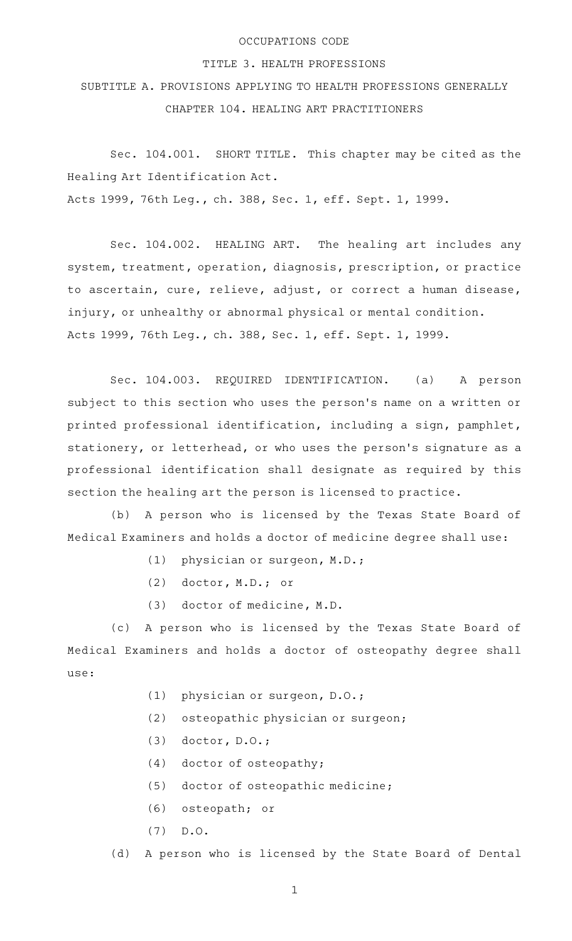## OCCUPATIONS CODE

## TITLE 3. HEALTH PROFESSIONS

SUBTITLE A. PROVISIONS APPLYING TO HEALTH PROFESSIONS GENERALLY CHAPTER 104. HEALING ART PRACTITIONERS

Sec. 104.001. SHORT TITLE. This chapter may be cited as the Healing Art Identification Act. Acts 1999, 76th Leg., ch. 388, Sec. 1, eff. Sept. 1, 1999.

Sec. 104.002. HEALING ART. The healing art includes any system, treatment, operation, diagnosis, prescription, or practice to ascertain, cure, relieve, adjust, or correct a human disease, injury, or unhealthy or abnormal physical or mental condition. Acts 1999, 76th Leg., ch. 388, Sec. 1, eff. Sept. 1, 1999.

Sec. 104.003. REQUIRED IDENTIFICATION. (a) A person subject to this section who uses the person's name on a written or printed professional identification, including a sign, pamphlet, stationery, or letterhead, or who uses the person 's signature as a professional identification shall designate as required by this section the healing art the person is licensed to practice.

(b) A person who is licensed by the Texas State Board of Medical Examiners and holds a doctor of medicine degree shall use:

- (1) physician or surgeon, M.D.;
- (2) doctor, M.D.; or
- (3) doctor of medicine, M.D.

(c)AAA person who is licensed by the Texas State Board of Medical Examiners and holds a doctor of osteopathy degree shall use:

- (1) physician or surgeon, D.O.;
- $(2)$  osteopathic physician or surgeon;
- $(3)$  doctor, D.O.;
- $(4)$  doctor of osteopathy;
- (5) doctor of osteopathic medicine;
- (6) osteopath; or
- $(7)$  D.O.

(d) A person who is licensed by the State Board of Dental

1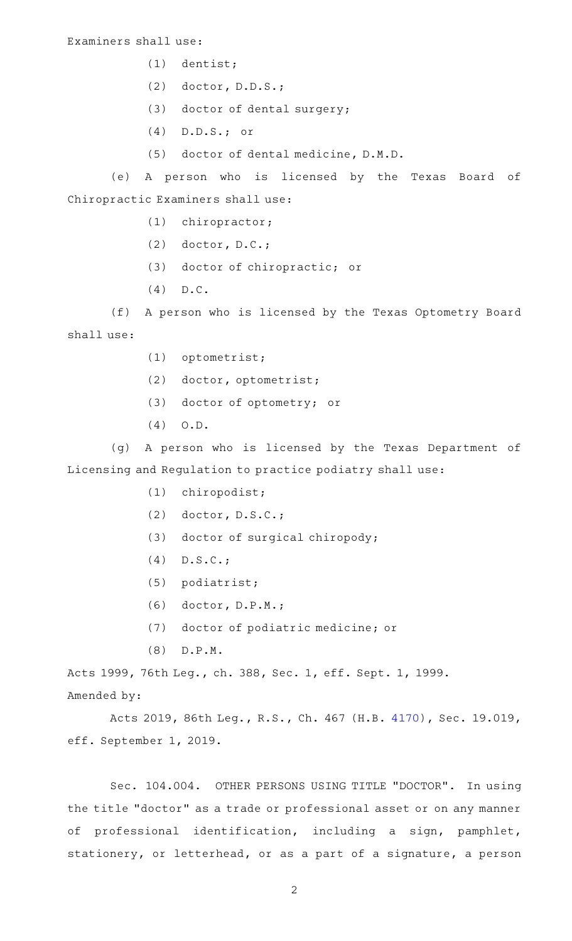- $(1)$  dentist;
- (2) doctor, D.D.S.;
- (3) doctor of dental surgery;
- $(4)$  D.D.S.; or
- (5) doctor of dental medicine, D.M.D.

(e)AAA person who is licensed by the Texas Board of Chiropractic Examiners shall use:

- (1) chiropractor;
- (2)  $dotor, D.C.;$
- (3) doctor of chiropractic; or
- $(4)$  D.C.

(f) A person who is licensed by the Texas Optometry Board shall use:

- (1) optometrist;
- (2) doctor, optometrist;
- (3) doctor of optometry; or
- $(4)$  O.D.

(g) A person who is licensed by the Texas Department of Licensing and Regulation to practice podiatry shall use:

- (1) chiropodist;
- (2)  $dotor, D.S.C.;$
- (3) doctor of surgical chiropody;
- $(4)$  D.S.C.;
- (5) podiatrist;
- $(6)$  doctor, D.P.M.;
- (7) doctor of podiatric medicine; or
- $(8)$  D.P.M.

Acts 1999, 76th Leg., ch. 388, Sec. 1, eff. Sept. 1, 1999. Amended by:

Acts 2019, 86th Leg., R.S., Ch. 467 (H.B. [4170\)](http://www.legis.state.tx.us/tlodocs/86R/billtext/html/HB04170F.HTM), Sec. 19.019, eff. September 1, 2019.

Sec. 104.004. OTHER PERSONS USING TITLE "DOCTOR". In using the title "doctor" as a trade or professional asset or on any manner of professional identification, including a sign, pamphlet, stationery, or letterhead, or as a part of a signature, a person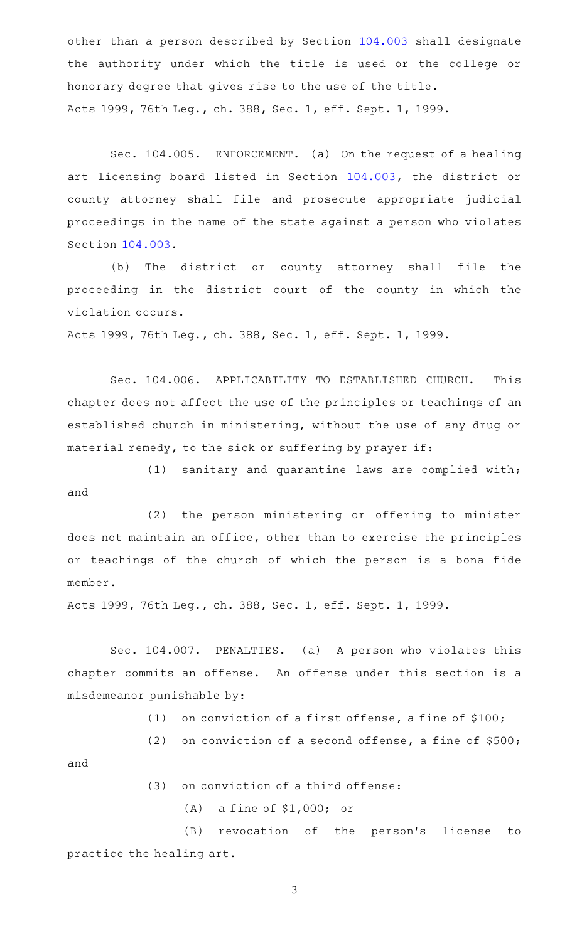other than a person described by Section [104.003](http://www.statutes.legis.state.tx.us/GetStatute.aspx?Code=OC&Value=104.003) shall designate the authority under which the title is used or the college or honorary degree that gives rise to the use of the title. Acts 1999, 76th Leg., ch. 388, Sec. 1, eff. Sept. 1, 1999.

Sec. 104.005. ENFORCEMENT. (a) On the request of a healing art licensing board listed in Section [104.003,](http://www.statutes.legis.state.tx.us/GetStatute.aspx?Code=OC&Value=104.003) the district or county attorney shall file and prosecute appropriate judicial proceedings in the name of the state against a person who violates Section [104.003.](http://www.statutes.legis.state.tx.us/GetStatute.aspx?Code=OC&Value=104.003)

(b) The district or county attorney shall file the proceeding in the district court of the county in which the violation occurs.

Acts 1999, 76th Leg., ch. 388, Sec. 1, eff. Sept. 1, 1999.

Sec. 104.006. APPLICABILITY TO ESTABLISHED CHURCH. This chapter does not affect the use of the principles or teachings of an established church in ministering, without the use of any drug or material remedy, to the sick or suffering by prayer if:

 $(1)$  sanitary and quarantine laws are complied with; and

(2) the person ministering or offering to minister does not maintain an office, other than to exercise the principles or teachings of the church of which the person is a bona fide member.

Acts 1999, 76th Leg., ch. 388, Sec. 1, eff. Sept. 1, 1999.

Sec. 104.007. PENALTIES. (a) A person who violates this chapter commits an offense. An offense under this section is a misdemeanor punishable by:

(1) on conviction of a first offense, a fine of  $$100;$ 

(2) on conviction of a second offense, a fine of  $$500;$ 

and

- $(3)$  on conviction of a third offense:
	- (A) a fine of  $$1,000;$  or

(B) revocation of the person's license to practice the healing art.

3